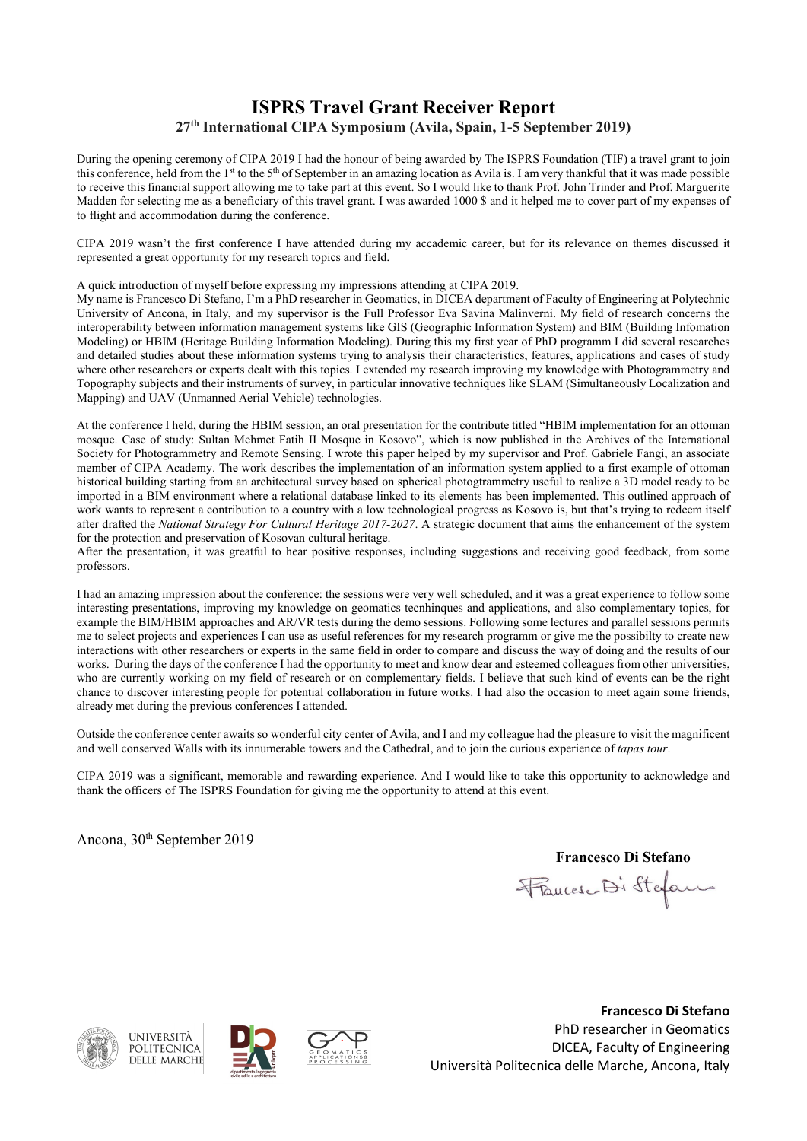## **ISPRS Travel Grant Receiver Report 27th International CIPA Symposium (Avila, Spain, 1-5 September 2019)**

During the opening ceremony of CIPA 2019 I had the honour of being awarded by The ISPRS Foundation (TIF) a travel grant to join this conference, held from the 1<sup>st</sup> to the 5<sup>th</sup> of September in an amazing location as Avila is. I am very thankful that it was made possible to receive this financial support allowing me to take part at this event. So I would like to thank Prof. John Trinder and Prof. Marguerite Madden for selecting me as a beneficiary of this travel grant. I was awarded 1000 \$ and it helped me to cover part of my expenses of to flight and accommodation during the conference.

CIPA 2019 wasn't the first conference I have attended during my accademic career, but for its relevance on themes discussed it represented a great opportunity for my research topics and field.

A quick introduction of myself before expressing my impressions attending at CIPA 2019.

My name is Francesco Di Stefano, I'm a PhD researcher in Geomatics, in DICEA department of Faculty of Engineering at Polytechnic University of Ancona, in Italy, and my supervisor is the Full Professor Eva Savina Malinverni. My field of research concerns the interoperability between information management systems like GIS (Geographic Information System) and BIM (Building Infomation Modeling) or HBIM (Heritage Building Information Modeling). During this my first year of PhD programm I did several researches and detailed studies about these information systems trying to analysis their characteristics, features, applications and cases of study where other researchers or experts dealt with this topics. I extended my research improving my knowledge with Photogrammetry and Topography subjects and their instruments of survey, in particular innovative techniques like SLAM (Simultaneously Localization and Mapping) and UAV (Unmanned Aerial Vehicle) technologies.

At the conference I held, during the HBIM session, an oral presentation for the contribute titled "HBIM implementation for an ottoman mosque. Case of study: Sultan Mehmet Fatih II Mosque in Kosovo", which is now published in the Archives of the International Society for Photogrammetry and Remote Sensing. I wrote this paper helped by my supervisor and Prof. Gabriele Fangi, an associate member of CIPA Academy. The work describes the implementation of an information system applied to a first example of ottoman historical building starting from an architectural survey based on spherical photogtrammetry useful to realize a 3D model ready to be imported in a BIM environment where a relational database linked to its elements has been implemented. This outlined approach of work wants to represent a contribution to a country with a low technological progress as Kosovo is, but that's trying to redeem itself after drafted the *National Strategy For Cultural Heritage 2017-2027*. A strategic document that aims the enhancement of the system for the protection and preservation of Kosovan cultural heritage.

After the presentation, it was greatful to hear positive responses, including suggestions and receiving good feedback, from some professors.

I had an amazing impression about the conference: the sessions were very well scheduled, and it was a great experience to follow some interesting presentations, improving my knowledge on geomatics tecnhinques and applications, and also complementary topics, for example the BIM/HBIM approaches and AR/VR tests during the demo sessions. Following some lectures and parallel sessions permits me to select projects and experiences I can use as useful references for my research programm or give me the possibilty to create new interactions with other researchers or experts in the same field in order to compare and discuss the way of doing and the results of our works. During the days of the conference I had the opportunity to meet and know dear and esteemed colleagues from other universities, who are currently working on my field of research or on complementary fields. I believe that such kind of events can be the right chance to discover interesting people for potential collaboration in future works. I had also the occasion to meet again some friends, already met during the previous conferences I attended.

Outside the conference center awaits so wonderful city center of Avila, and I and my colleague had the pleasure to visit the magnificent and well conserved Walls with its innumerable towers and the Cathedral, and to join the curious experience of *tapas tour*.

CIPA 2019 was a significant, memorable and rewarding experience. And I would like to take this opportunity to acknowledge and thank the officers of The ISPRS Foundation for giving me the opportunity to attend at this event.

Ancona, 30th September 2019

 **Francesco Di Stefano**

Flancesc Di Stefans









**Francesco Di Stefano** PhD researcher in Geomatics DICEA, Faculty of Engineering Università Politecnica delle Marche, Ancona, Italy